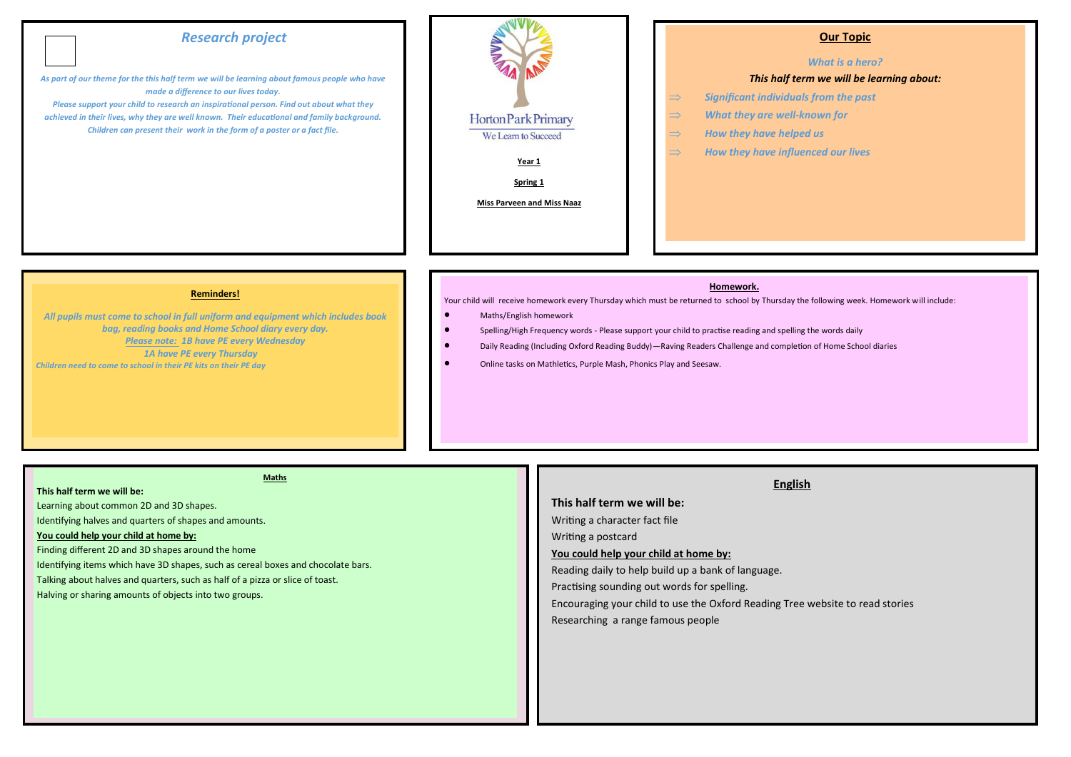# *Research project*

*As part of our theme for the this half term we will be learning about famous people who have made a difference to our lives today.*

*Please support your child to research an inspirational person. Find out about what they achieved in their lives, why they are well known. Their educational and family background. Children can present their work in the form of a poster or a fact file.*



### **Our Topic**

### *What is a hero?*

### *This half term we will be learning about:*

- *Significant individuals from the past*
- *What they are well-known for*
- $\Rightarrow$  How they have helped us
- $\Rightarrow$  How they have influenced our lives

**Reminders!**

*All pupils must come to school in full uniform and equipment which includes book bag, reading books and Home School diary every day. Please note: 1B have PE every Wednesday 1A have PE every Thursday Children need to come to school in their PE kits on their PE day*

### **Homework.**

Your child will receive homework every Thursday which must be returned to school by Thursday the following week. Homework will include:

- Maths/English homework
- Spelling/High Frequency words Please support your child to practise reading and spelling the words daily
- Daily Reading (Including Oxford Reading Buddy)—Raving Readers Challenge and completion of Home School diaries
- Online tasks on Mathletics, Purple Mash, Phonics Play and Seesaw.

**This half term we will be:** 

## **Maths**

#### **This half term we will be:**

Learning about common 2D and 3D shapes.

Identifying halves and quarters of shapes and amounts.

### **You could help your child at home by:**

Finding different 2D and 3D shapes around the home

Identifying items which have 3D shapes, such as cereal boxes and chocolate bars.

Talking about halves and quarters, such as half of a pizza or slice of toast.

Halving or sharing amounts of objects into two groups.

### **English**

# Writing a character fact file Writing a postcard **You could help your child at home by:** Reading daily to help build up a bank of language. Practising sounding out words for spelling. Encouraging your child to use the Oxford Reading Tree website to read stories Researching a range famous people